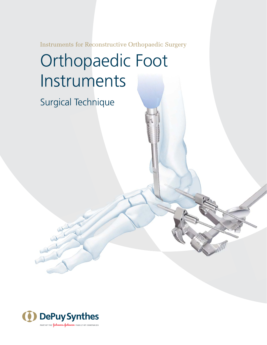Instruments for Reconstructive Orthopaedic Surgery

# Orthopaedic Foot Instruments

Surgical Technique

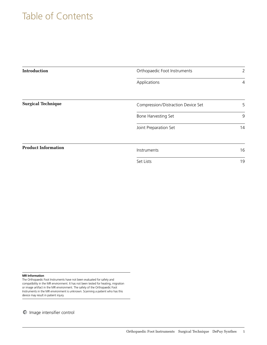# Table of Contents

| <b>Introduction</b>        | Orthopaedic Foot Instruments       |                |
|----------------------------|------------------------------------|----------------|
|                            | Applications                       | $\overline{4}$ |
| <b>Surgical Technique</b>  | Compression/Distraction Device Set | 5              |
|                            | Bone Harvesting Set                | 9              |
|                            | Joint Preparation Set              | 14             |
| <b>Product Information</b> | Instruments                        | 16             |
|                            | Set Lists                          | 19             |

#### **MR Information**

The Orthopaedic Foot Instruments have not been evaluated for safety and compatibility in the MR environment. It has not been tested for heating, migration or image artifact in the MR environment. The safety of the Orthopaedic Foot Instruments in the MR environment is unknown. Scanning a patient who has this device may result in patient injury.

Image intensifier control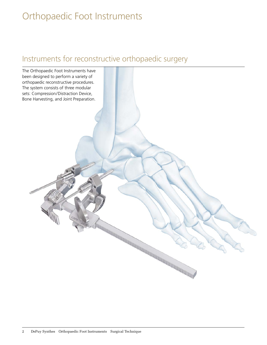# Orthopaedic Foot Instruments

# Instruments for reconstructive orthopaedic surgery

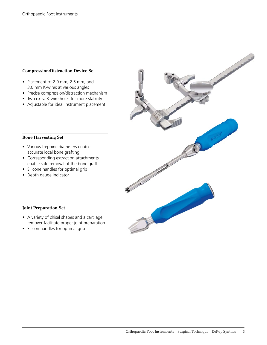#### **Compression/Distraction Device Set**

- Placement of 2.0 mm, 2.5 mm, and 3.0 mm K-wires at various angles
- Precise compression/distraction mechanism
- Two extra K-wire holes for more stability
- Adjustable for ideal instrument placement

#### **Bone Harvesting Set**

- Various trephine diameters enable accurate local bone grafting
- Corresponding extraction attachments enable safe removal of the bone graft
- Silicone handles for optimal grip
- Depth gauge indicator



#### **Joint Preparation Set**

- A variety of chisel shapes and a cartilage remover facilitate proper joint preparation
- Silicon handles for optimal grip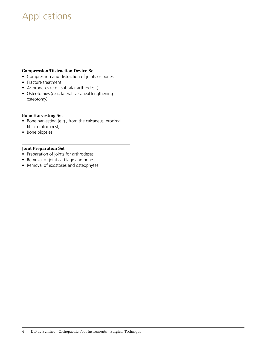# Applications

#### **Compression/Distraction Device Set**

- Compression and distraction of joints or bones
- Fracture treatment
- Arthrodeses (e.g., subtalar arthrodesis)
- Osteotomies (e.g., lateral calcaneal lengthening osteotomy)

#### **Bone Harvesting Set**

- Bone harvesting (e.g., from the calcaneus, proximal tibia, or iliac crest)
- Bone biopsies

#### **Joint Preparation Set**

- Preparation of joints for arthrodeses
- Removal of joint cartilage and bone
- Removal of exostoses and osteophytes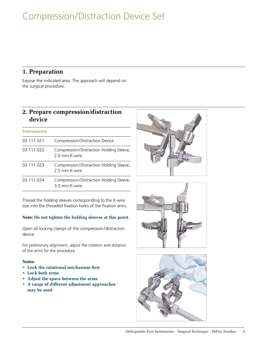# Compression/Distraction Device Set

## **1. Preparation**

Expose the indicated area. The approach will depend on the surgical procedure.

# **2. Prepare compression/distraction device**

#### **Instruments**

| 03.111.021 | Compression/Distraction Device                           |
|------------|----------------------------------------------------------|
| 03.111.022 | Compression/Distraction Holding Sleeve,<br>2.0 mm K-wire |
| 03.111.023 | Compression/Distraction Holding Sleeve,<br>2.5 mm K-wire |
| 03.111.024 | Compression/Distraction Holding Sleeve,<br>3.0 mm K-wire |

Thread the holding sleeves corresponding to the K-wire size into the threaded fixation holes of the fixation arms.

#### **Note: Do not tighten the holding sleeves at this point.**

Open all locking clamps of the compression/distraction device.

For preliminary alignment, adjust the rotation and distance of the arms for the procedure.

#### **Notes:**

- Lock the rotational mechanism first
- **• Lock both arms**
- **• Adjust the space between the arms**
- **A range of different adjustment approaches may be used**





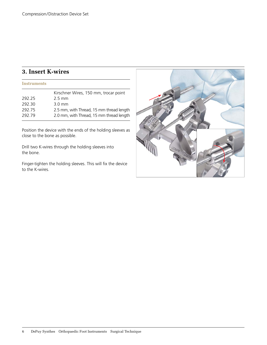# **3. Insert K-wires**

| <b>Instruments</b> |                                                                                      |
|--------------------|--------------------------------------------------------------------------------------|
|                    | Kirschner Wires, 150 mm, trocar point                                                |
| 292.25             | $2.5 \text{ mm}$                                                                     |
| 292.30             | $3.0 \text{ mm}$                                                                     |
| 292.75<br>292.79   | 2.5 mm, with Thread, 15 mm thread length<br>2.0 mm, with Thread, 15 mm thread length |

Position the device with the ends of the holding sleeves as close to the bone as possible.

Drill two K-wires through the holding sleeves into the bone.

Finger-tighten the holding sleeves. This will fix the device to the K-wires.

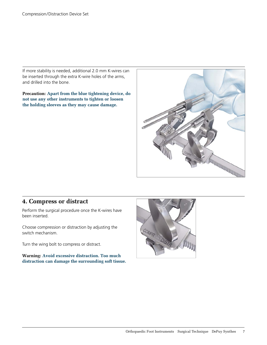If more stability is needed, additional 2.0 mm K-wires can be inserted through the extra K-wire holes of the arms, and drilled into the bone.

**Precaution: Apart from the blue tightening device, do not use any other instruments to tighten or loosen the holding sleeves as they may cause damage.**



# **4. Compress or distract**

Perform the surgical procedure once the K-wires have been inserted.

Choose compression or distraction by adjusting the switch mechanism.

Turn the wing bolt to compress or distract.

**Warning: Avoid excessive distraction. Too much distraction can damage the surrounding soft tissue.**

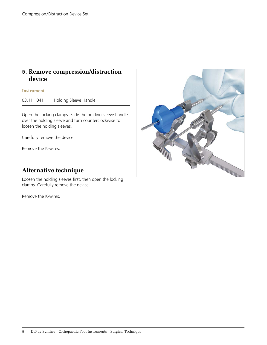## **5. Remove compression/distraction device**

#### **Instrument**

03.111.041 Holding Sleeve Handle

Open the locking clamps. Slide the holding sleeve handle over the holding sleeve and turn counterclockwise to loosen the holding sleeves.

Carefully remove the device.

Remove the K-wires.

# **Alternative technique**

Loosen the holding sleeves first, then open the locking clamps. Carefully remove the device.

Remove the K-wires.

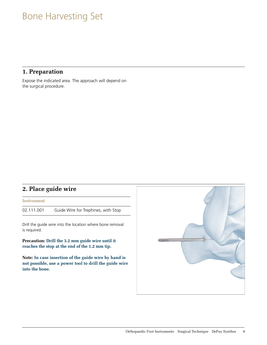# Bone Harvesting Set

## **1. Preparation**

Expose the indicated area. The approach will depend on the surgical procedure.

## **2. Place guide wire**

**Instrument**

02.111.001 Guide Wire for Trephines, with Stop

Drill the guide wire into the location where bone removal is required.

**Precaution: Drill the 3.2 mm guide wire until it reaches the stop at the end of the 1.2 mm tip.** 

**Note: In case insertion of the guide wire by hand is not possible, use a power tool to drill the guide wire into the bone.**

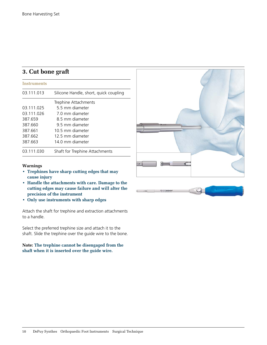# **3. Cut bone graft**

| <b>Instruments</b> |                                        |
|--------------------|----------------------------------------|
| 03.111.013         | Silicone Handle, short, quick coupling |
|                    | Trephine Attachments                   |
| 03.111.025         | 5.5 mm diameter                        |
| 03.111.026         | 7.0 mm diameter                        |
| 387.659            | 8.5 mm diameter                        |
| 387.660            | 9.5 mm diameter                        |
| 387.661            | 10.5 mm diameter                       |
| 387.662            | 12.5 mm diameter                       |
| 387.663            | 14.0 mm diameter                       |
| 03.111.030         | Shaft for Trephine Attachments         |

# 70 C .

- **Warnings**
- **Trephines have sharp cutting edges that may cause injury**
- **Handle the attachments with care. Damage to the cutting edges may cause failure and will alter the precision of the instrument**
- **• Only use instruments with sharp edges**

Attach the shaft for trephine and extraction attachments to a handle.

Select the preferred trephine size and attach it to the shaft. Slide the trephine over the guide wire to the bone.

#### **Note: The trephine cannot be disengaged from the shaft when it is inserted over the guide wire.**

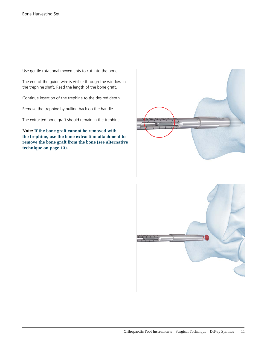Use gentle rotational movements to cut into the bone.

The end of the guide wire is visible through the window in the trephine shaft. Read the length of the bone graft.

Continue insertion of the trephine to the desired depth.

Remove the trephine by pulling back on the handle.

The extracted bone graft should remain in the trephine

**Note: If the bone graft cannot be removed with the trephine, use the bone extraction attachment to remove the bone graft from the bone (see alternative technique on page 13).**



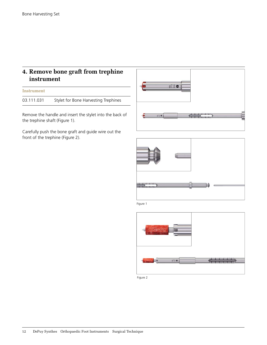# **4. Remove bone graft from trephine instrument**

#### **Instrument**

03.111.031 Stylet for Bone Harvesting Trephines

Remove the handle and insert the stylet into the back of the trephine shaft (Figure 1).

Carefully push the bone graft and guide wire out the front of the trephine (Figure 2).





Figure 1



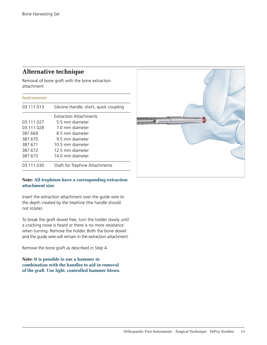# **Alternative technique**

Removal of bone graft with the bone extraction attachment

| Instruments |                                        |
|-------------|----------------------------------------|
| 03.111.013  | Silicone Handle, short, quick coupling |
|             | <b>Extraction Attachments</b>          |
| 03.111.027  | 5.5 mm diameter                        |
| 03.111.028  | 7.0 mm diameter                        |
| 387.669     | 8.5 mm diameter                        |
| 387.670     | 9.5 mm diameter                        |
| 387.671     | 10.5 mm diameter                       |
| 387.672     | 12.5 mm diameter                       |
| 387.673     | 14.0 mm diameter                       |
| 03.111.030  | Shaft for Trephine Attachments         |

## **Note: All trephines have a corresponding extraction attachment size.**

Insert the extraction attachment over the guide wire to the depth created by the trephine (the handle should not rotate).

To break the graft dowel free, turn the holder slowly until a cracking noise is heard or there is no more resistance when turning. Remove the holder. Both the bone dowel and the guide wire will remain in the extraction attachment.

Remove the bone graft as described in Step 4.

## **Note: It is possible to use a hammer in combination with the handles to aid in removal of the graft. Use light, controlled hammer blows.**

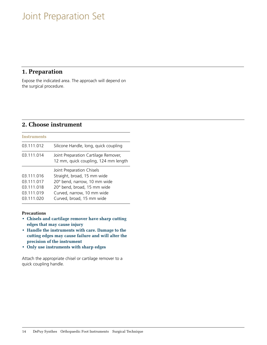# Joint Preparation Set

## **1. Preparation**

Expose the indicated area. The approach will depend on the surgical procedure.

# **2. Choose instrument**

| <b>Instruments</b>                                                 |                                                                                                                                                                                    |
|--------------------------------------------------------------------|------------------------------------------------------------------------------------------------------------------------------------------------------------------------------------|
| 03.111.012                                                         | Silicone Handle, long, quick coupling                                                                                                                                              |
| 03.111.014                                                         | Joint Preparation Cartilage Remover,<br>12 mm, quick coupling, 124 mm length                                                                                                       |
| 03.111.016<br>03.111.017<br>03.111.018<br>03.111.019<br>03.111.020 | Joint Preparation Chisels<br>Straight, broad, 15 mm wide<br>20° bend, narrow, 10 mm wide<br>20° bend, broad, 15 mm wide<br>Curved, narrow, 10 mm wide<br>Curved, broad, 15 mm wide |

## **Precautions**

- **• Chisels and cartilage remover have sharp cutting edges that may cause injury**
- **• Handle the instruments with care. Damage to the cutting edges may cause failure and will alter the precision of the instrument**
- **• Only use instruments with sharp edges**

Attach the appropriate chisel or cartilage remover to a quick coupling handle.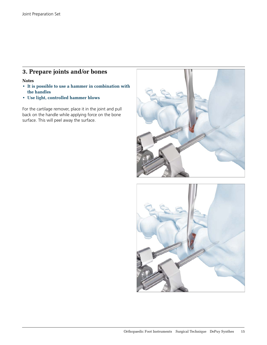# **3. Prepare joints and/or bones**

#### **Notes**

- **It is possible to use a hammer in combination with the handles**
- **• Use light, controlled hammer blows**

For the cartilage remover, place it in the joint and pull back on the handle while applying force on the bone surface. This will peel away the surface.



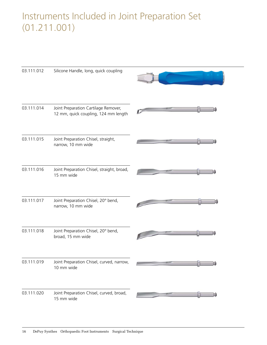# Instruments Included in Joint Preparation Set (01.211.001)

| 03.111.012 | Silicone Handle, long, quick coupling                                        |  |
|------------|------------------------------------------------------------------------------|--|
| 03.111.014 | Joint Preparation Cartilage Remover,<br>12 mm, quick coupling, 124 mm length |  |
| 03.111.015 | Joint Preparation Chisel, straight,<br>narrow, 10 mm wide                    |  |
| 03.111.016 | Joint Preparation Chisel, straight, broad,<br>15 mm wide                     |  |
| 03.111.017 | Joint Preparation Chisel, 20° bend,<br>narrow, 10 mm wide                    |  |
| 03.111.018 | Joint Preparation Chisel, 20° bend,<br>broad, 15 mm wide                     |  |
| 03.111.019 | Joint Preparation Chisel, curved, narrow,<br>10 mm wide                      |  |
| 03.111.020 | Joint Preparation Chisel, curved, broad,<br>15 mm wide                       |  |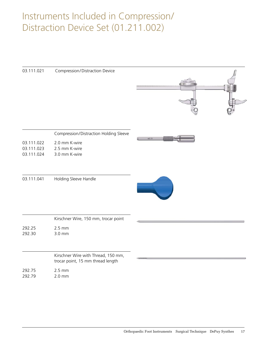# Instruments Included in Compression/ Distraction Device Set (01.211.002)

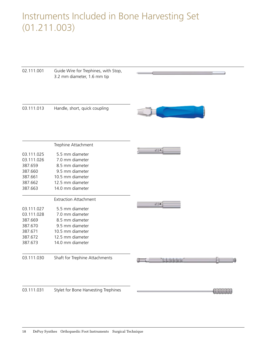# Instruments Included in Bone Harvesting Set (01.211.003)

| 02.111.001         | Guide Wire for Trephines, with Stop,<br>3.2 mm diameter, 1.6 mm tip |                        |
|--------------------|---------------------------------------------------------------------|------------------------|
| 03.111.013         | Handle, short, quick coupling                                       |                        |
|                    | Trephine Attachment                                                 |                        |
| 03.111.025         | 5.5 mm diameter                                                     | $07.0 \Leftrightarrow$ |
| 03.111.026         | 7.0 mm diameter                                                     |                        |
| 387.659            | 8.5 mm diameter                                                     |                        |
| 387.660            | 9.5 mm diameter                                                     |                        |
| 387.661            | 10.5 mm diameter                                                    |                        |
| 387.662<br>387.663 | 12.5 mm diameter<br>14.0 mm diameter                                |                        |
|                    | <b>Extraction Attachment</b>                                        |                        |
|                    |                                                                     | $07.0$ $\sim$          |
| 03.111.027         | 5.5 mm diameter                                                     |                        |
| 03.111.028         | 7.0 mm diameter                                                     |                        |
| 387.669            | 8.5 mm diameter                                                     |                        |
| 387.670            | 9.5 mm diameter                                                     |                        |
| 387.671            | 10.5 mm diameter                                                    |                        |
| 387.672            | 12.5 mm diameter                                                    |                        |
| 387.673            | 14.0 mm diameter                                                    |                        |
| 03.111.030         | Shaft for Trephine Attachments                                      |                        |
| 03.111.031         | Stylet for Bone Harvesting Trephines                                |                        |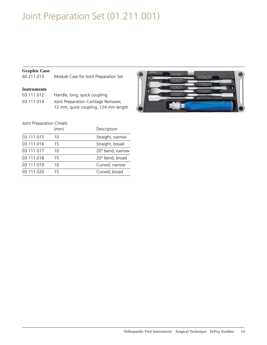# Joint Preparation Set (01.211.001)

## **Graphic Case**

60.211.013 Module Case for Joint Preparation Set

#### **Instruments**

| 03.111.012 | Handle, long, quick coupling         |
|------------|--------------------------------------|
| 03.111.014 | Joint Preparation Cartilage Remover, |
|            | 12 mm, quick coupling, 124 mm length |

## Joint Preparation Chisels

|            | (mm) | Description      |
|------------|------|------------------|
| 03.111.015 | 10   | Straight, narrow |
| 03.111.016 | 15   | Straight, broad  |
| 03.111.017 | 10   | 20° bend, narrow |
| 03.111.018 | 15   | 20° bend, broad  |
| 03.111.019 | 10   | Curved, narrow   |
| 03.111.020 | 15   | Curved, broad    |

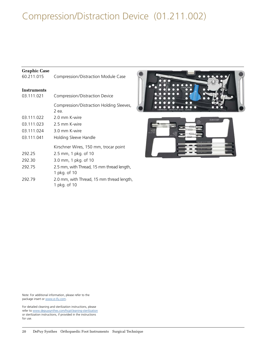# Compression/Distraction Device (01.211.002)

## **Graphic Case**

| 60.211.015         | Compression/Distraction Module Case                       |
|--------------------|-----------------------------------------------------------|
| <b>Instruments</b> |                                                           |
| 03.111.021         | Compression/Distraction Device                            |
|                    | Compression/Distraction Holding Sleeves,<br>2 еа.         |
| 03.111.022         | 2.0 mm K-wire                                             |
| 03.111.023         | 2.5 mm K-wire                                             |
| 03.111.024         | 3.0 mm K-wire                                             |
| 03.111.041         | Holding Sleeve Handle                                     |
|                    | Kirschner Wires, 150 mm, trocar point                     |
| 292.25             | 2.5 mm, 1 pkg. of 10                                      |
| 292.30             | 3.0 mm, 1 pkg. of 10                                      |
| 292.75             | 2.5 mm, with Thread, 15 mm thread length,<br>1 pkg. of 10 |
| 292.79             | 2.0 mm, with Thread, 15 mm thread length,<br>1 pkg. of 10 |





Note: For additional information, please refer to the package insert or www.e-ifu.com.

For detailed cleaning and sterilization instructions, please refer to www.depuysynthes.com/hcp/cleaning-sterilization or sterilization instructions, if provided in the instructions for use.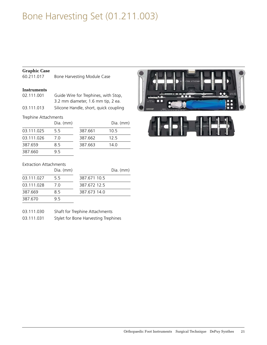# Bone Harvesting Set (01.211.003)

## **Graphic Case**

60.211.017 Bone Harvesting Module Case

#### **Instruments**

| 02.111.001 | Guide Wire for Trephines, with Stop,   |
|------------|----------------------------------------|
|            | 3.2 mm diameter, 1.6 mm tip, 2 ea.     |
| 03.111.013 | Silicone Handle, short, quick coupling |

## Trephine Attachments

|            | Dia. (mm) |         | Dia  |
|------------|-----------|---------|------|
| 03.111.025 | 5.5       | 387.661 | 10.5 |
| 03.111.026 | 7 O       | 387.662 | 12.5 |
| 387.659    | 8.5       | 387.663 | 14.0 |
| 387.660    | 95        |         |      |

| Dia. (mm) |         | Dia. (mm) |
|-----------|---------|-----------|
| 5.5       | 387.661 | 10.5      |
| 7.0       | 387.662 | 12.5      |
| 8.5       | 387.663 | 14.0      |
|           |         |           |



#### Extraction Attachments

|            | Dia. (mm) |              | Dia. (mm) |
|------------|-----------|--------------|-----------|
| 03.111.027 | 55        | 387.671.10.5 |           |
| 03.111.028 | 7 N       | 387.672.12.5 |           |
| 387.669    | 85        | 387.673.14.0 |           |
| 387.670    | 95        |              |           |

| 03.111.030 |  | Shaft for Trephine Attachments |
|------------|--|--------------------------------|
|            |  |                                |

| 03.111.031 | Stylet for Bone Harvesting Trephines |  |
|------------|--------------------------------------|--|
|            |                                      |  |